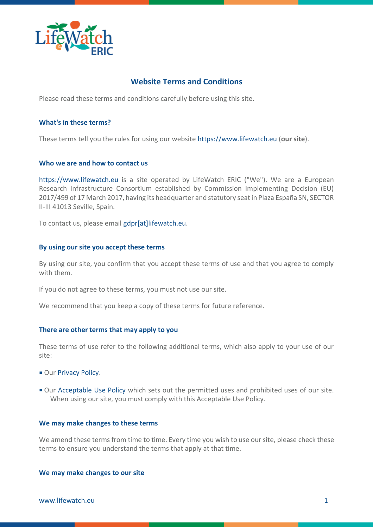

# **Website Terms and Conditions**

Please read these terms and conditions carefully before using this site.

# **What's in these terms?**

These terms tell you the rules for using our website [https://www.lifewatch.eu](https://www.lifewatch.eu/) (**our site**).

# **Who we are and how to contact us**

[https://www.lifewatch.e](https://www.lifewatch.eu/)u is a site operated by LifeWatch ERIC ("We"). We are a European Research Infrastructure Consortium established by Commission Implementing Decision (EU) 2017/499 of 17 March 2017, having its headquarter and statutory seat in Plaza España SN, SECTOR II-III 41013 Seville, Spain.

To contact us, please email gdpr[at]lifewatch.eu.

## **By using our site you accept these terms**

By using our site, you confirm that you accept these terms of use and that you agree to comply with them.

If you do not agree to these terms, you must not use our site.

We recommend that you keep a copy of these terms for future reference.

#### **There are other terms that may apply to you**

These terms of use refer to the following additional terms, which also apply to your use of our site:

- **Our [Privacy Policy.](https://www.lifewatch.eu/privacy-policy)**
- Our [Acceptable Use Policy](https://www.lifewatch.eu/acceptable-use-policy) which sets out the permitted uses and prohibited uses of our site. When using our site, you must comply with this Acceptable Use Policy.

#### **We may make changes to these terms**

We amend these terms from time to time. Every time you wish to use our site, please check these terms to ensure you understand the terms that apply at that time.

#### **We may make changes to our site**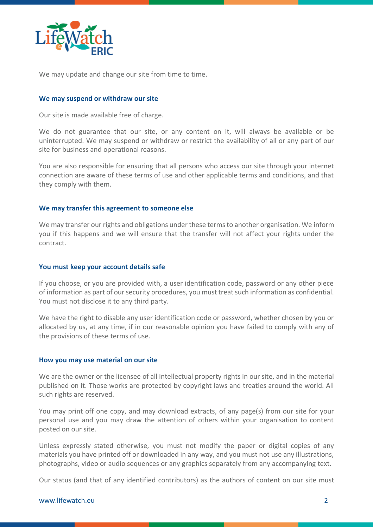

We may update and change our site from time to time.

#### **We may suspend or withdraw our site**

Our site is made available free of charge.

We do not guarantee that our site, or any content on it, will always be available or be uninterrupted. We may suspend or withdraw or restrict the availability of all or any part of our site for business and operational reasons.

You are also responsible for ensuring that all persons who access our site through your internet connection are aware of these terms of use and other applicable terms and conditions, and that they comply with them.

#### **We may transfer this agreement to someone else**

We may transfer our rights and obligations under these terms to another organisation. We inform you if this happens and we will ensure that the transfer will not affect your rights under the contract.

#### **You must keep your account details safe**

If you choose, or you are provided with, a user identification code, password or any other piece of information as part of our security procedures, you must treat such information as confidential. You must not disclose it to any third party.

We have the right to disable any user identification code or password, whether chosen by you or allocated by us, at any time, if in our reasonable opinion you have failed to comply with any of the provisions of these terms of use.

#### **How you may use material on our site**

We are the owner or the licensee of all intellectual property rights in our site, and in the material published on it. Those works are protected by copyright laws and treaties around the world. All such rights are reserved.

You may print off one copy, and may download extracts, of any page(s) from our site for your personal use and you may draw the attention of others within your organisation to content posted on our site.

Unless expressly stated otherwise, you must not modify the paper or digital copies of any materials you have printed off or downloaded in any way, and you must not use any illustrations, photographs, video or audio sequences or any graphics separately from any accompanying text.

Our status (and that of any identified contributors) as the authors of content on our site must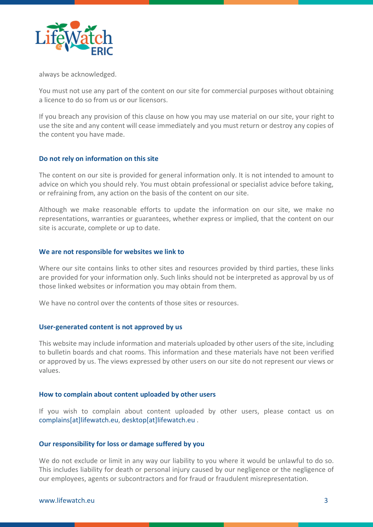

always be acknowledged.

You must not use any part of the content on our site for commercial purposes without obtaining a licence to do so from us or our licensors.

If you breach any provision of this clause on how you may use material on our site, your right to use the site and any content will cease immediately and you must return or destroy any copies of the content you have made.

## **Do not rely on information on this site**

The content on our site is provided for general information only. It is not intended to amount to advice on which you should rely. You must obtain professional or specialist advice before taking, or refraining from, any action on the basis of the content on our site.

Although we make reasonable efforts to update the information on our site, we make no representations, warranties or guarantees, whether express or implied, that the content on our site is accurate, complete or up to date.

#### **We are not responsible for websites we link to**

Where our site contains links to other sites and resources provided by third parties, these links are provided for your information only. Such links should not be interpreted as approval by us of those linked websites or information you may obtain from them.

We have no control over the contents of those sites or resources.

#### **User-generated content is not approved by us**

This website may include information and materials uploaded by other users of the site, including to bulletin boards and chat rooms. This information and these materials have not been verified or approved by us. The views expressed by other users on our site do not represent our views or values.

#### **How to complain about content uploaded by other users**

If you wish to complain about content uploaded by other users, please contact us on complains[at]lifewatch.eu, [desktop\[at\]lifewatch.eu](mailto:desktop@lifewatch.eu) .

#### **Our responsibility for loss or damage suffered by you**

We do not exclude or limit in any way our liability to you where it would be unlawful to do so. This includes liability for death or personal injury caused by our negligence or the negligence of our employees, agents or subcontractors and for fraud or fraudulent misrepresentation.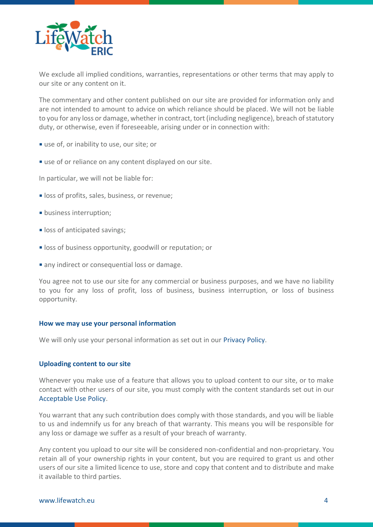

We exclude all implied conditions, warranties, representations or other terms that may apply to our site or any content on it.

The commentary and other content published on our site are provided for information only and are not intended to amount to advice on which reliance should be placed. We will not be liable to you for any loss or damage, whether in contract, tort (including negligence), breach of statutory duty, or otherwise, even if foreseeable, arising under or in connection with:

- use of, or inability to use, our site; or
- use of or reliance on any content displayed on our site.

In particular, we will not be liable for:

- **Ioss of profits, sales, business, or revenue;**
- **•** business interruption;
- **Ioss of anticipated savings;**
- loss of business opportunity, goodwill or reputation; or
- nany indirect or consequential loss or damage.

You agree not to use our site for any commercial or business purposes, and we have no liability to you for any loss of profit, loss of business, business interruption, or loss of business opportunity.

#### **How we may use your personal information**

We will only use your personal information as set out in our [Privacy Policy.](https://www.lifewatch.eu/privacy-policy)

#### **Uploading content to our site**

Whenever you make use of a feature that allows you to upload content to our site, or to make contact with other users of our site, you must comply with the content standards set out in our [Acceptable Use Policy.](https://www.lifewatch.eu/acceptable-use-policy)

You warrant that any such contribution does comply with those standards, and you will be liable to us and indemnify us for any breach of that warranty. This means you will be responsible for any loss or damage we suffer as a result of your breach of warranty.

Any content you upload to our site will be considered non-confidential and non-proprietary. You retain all of your ownership rights in your content, but you are required to grant us and other users of our site a limited licence to use, store and copy that content and to distribute and make it available to third parties.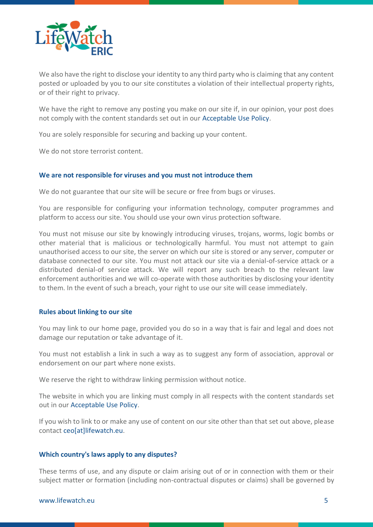

We also have the right to disclose your identity to any third party who is claiming that any content posted or uploaded by you to our site constitutes a violation of their intellectual property rights, or of their right to privacy.

We have the right to remove any posting you make on our site if, in our opinion, your post does not comply with the content standards set out in our [Acceptable Use Policy.](https://www.lifewatch.eu/acceptable-use-policy)

You are solely responsible for securing and backing up your content.

We do not store terrorist content.

## **We are not responsible for viruses and you must not introduce them**

We do not guarantee that our site will be secure or free from bugs or viruses.

You are responsible for configuring your information technology, computer programmes and platform to access our site. You should use your own virus protection software.

You must not misuse our site by knowingly introducing viruses, trojans, worms, logic bombs or other material that is malicious or technologically harmful. You must not attempt to gain unauthorised access to our site, the server on which our site is stored or any server, computer or database connected to our site. You must not attack our site via a denial-of-service attack or a distributed denial-of service attack. We will report any such breach to the relevant law enforcement authorities and we will co-operate with those authorities by disclosing your identity to them. In the event of such a breach, your right to use our site will cease immediately.

#### **Rules about linking to our site**

You may link to our home page, provided you do so in a way that is fair and legal and does not damage our reputation or take advantage of it.

You must not establish a link in such a way as to suggest any form of association, approval or endorsement on our part where none exists.

We reserve the right to withdraw linking permission without notice.

The website in which you are linking must comply in all respects with the content standards set out in our [Acceptable Use Policy.](https://www.lifewatch.eu/acceptable-use-policy)

If you wish to link to or make any use of content on our site other than that set out above, please contact ceo[at]lifewatch.eu.

#### **Which country's laws apply to any disputes?**

These terms of use, and any dispute or claim arising out of or in connection with them or their subject matter or formation (including non-contractual disputes or claims) shall be governed by